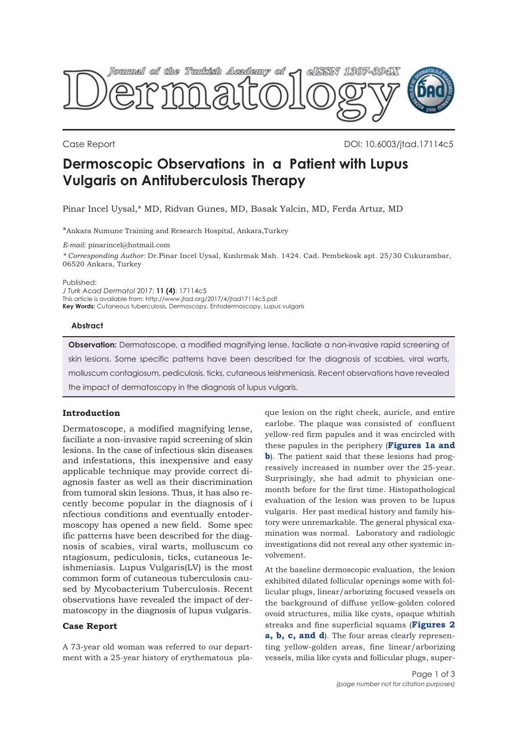

Case Report DOI: 10.6003/jtad.17114c5

# **Dermoscopic Observations in a Patient with Lupus Vulgaris on Antituberculosis Therapy**

Pinar Incel Uysal,\* MD, Ridvan Gunes, MD, Basak Yalcin, MD, Ferda Artuz, MD

\*Ankara Numune Training and Research Hospital, Ankara,Turkey

*E-mail:* pinarincel@hotmail.com

*\* Corresponding Author:* Dr.Pinar Incel Uysal, Kızılırmak Mah. 1424. Cad. Pembekosk apt. 25/30 Cukurambar, 06520 Ankara, Turkey

Published:

*J Turk Acad Dermatol* 2017; **11 (4)**: 17114c5 This article is available from: http://www.jtad.org/2017/4/jtad17114c5.pdf **Key Words:** Cutaneous tuberculosis, Dermoscopy, Entodermoscopy, Lupus vulgaris

#### **Abstract**

**Observation:** Dermatoscope, a modified magnifying lense, faciliate a non-invasive rapid screening of skin lesions. Some specific patterns have been described for the diagnosis of scabies, viral warts, molluscum contagiosum, pediculosis, ticks, cutaneous leishmeniasis. Recent observations have revealed the impact of dermatoscopy in the diagnosis of lupus vulgaris.

## **Introduction**

Dermatoscope, a modified magnifying lense, faciliate a non-invasive rapid screening of skin lesions. In the case of infectious skin diseases and infestations, this inexpensive and easy applicable technique may provide correct diagnosis faster as well as their discrimination from tumoral skin lesions. Thus, it has also recently become popular in the diagnosis of i nfectious conditions and eventually entodermoscopy has opened a new field. Some spec ific patterns have been described for the diagnosis of scabies, viral warts, molluscum co ntagiosum, pediculosis, ticks, cutaneous leishmeniasis. Lupus Vulgaris(LV) is the most common form of cutaneous tuberculosis caused by Mycobacterium Tuberculosis. Recent observations have revealed the impact of dermatoscopy in the diagnosis of lupus vulgaris.

### **Case Report**

A 73-year old woman was referred to our department with a 25-year history of erythematous plaque lesion on the right cheek, auricle, and entire earlobe. The plaque was consisted of confluent yellow-red firm papules and it was encircled with these papules in the periphery (**Figures 1a and b**[\). The patient said that these lesions had prog](#page-1-0)ressively increased in number over the 25-year. Surprisingly, she had admit to physician onemonth before for the first time. Histopathological evaluation of the lesion was proven to be lupus vulgaris. Her past medical history and family history were unremarkable. The general physical examination was normal. Laboratory and radiologic investigations did not reveal any other systemic involvement.

At the baseline dermoscopic evaluation, the lesion exhibited dilated follicular openings some with follicular plugs, linear/arborizing focused vessels on the background of diffuse yellow-golden colored ovoid structures, milia like cysts, opaque whitish [streaks and fine superficial squams \(](#page-1-0)**Figures 2 a, b, c, and d**). The four areas clearly representing yellow-golden areas, fine linear/arborizing vessels, milia like cysts and follicular plugs, super-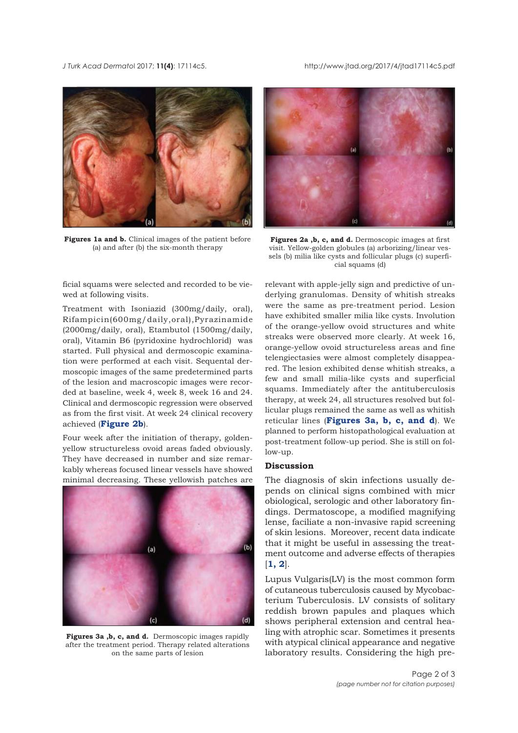<span id="page-1-0"></span>*J Turk Acad Dermato*l 2017; **11(4)**: 17114c5. http://www.jtad.org/2017/4/jtad17114c5.pdf



**Figures 1a and b.** Clinical images of the patient before (a) and after (b) the six-month therapy

ficial squams were selected and recorded to be viewed at following visits.

Treatment with Isoniazid (300mg/daily, oral), Rifampicin(600mg/daily,oral),Pyrazinamide (2000mg/daily, oral), Etambutol (1500mg/daily, oral), Vitamin B6 (pyridoxine hydrochlorid) was started. Full physical and dermoscopic examination were performed at each visit. Sequental dermoscopic images of the same predetermined parts of the lesion and macroscopic images were recorded at baseline, week 4, week 8, week 16 and 24. Clinical and dermoscopic regression were observed as from the first visit. At week 24 clinical recovery achieved (**Figure 2b**).

Four week after the initiation of therapy, goldenyellow structureless ovoid areas faded obviously. They have decreased in number and size remarkably whereas focused linear vessels have showed minimal decreasing. These yellowish patches are



**Figures 3a ,b, c, and d.** Dermoscopic images rapidly after the treatment period. Therapy related alterations on the same parts of lesion



**Figures 2a ,b, c, and d.** Dermoscopic images at first visit. Yellow-golden globules (a) arborizing/linear vessels (b) milia like cysts and follicular plugs (c) superficial squams (d)

relevant with apple-jelly sign and predictive of underlying granulomas. Density of whitish streaks were the same as pre-treatment period. Lesion have exhibited smaller milia like cysts. Involution of the orange-yellow ovoid structures and white streaks were observed more clearly. At week 16, orange-yellow ovoid structureless areas and fine telengiectasies were almost completely disappeared. The lesion exhibited dense whitish streaks, a few and small milia-like cysts and superficial squams. Immediately after the antituberculosis therapy, at week 24, all structures resolved but follicular plugs remained the same as well as whitish reticular lines (**Figures 3a, b, c, and d**). We planned to perform histopathological evaluation at post-treatment follow-up period. She is still on follow-up.

## **Discussion**

The diagnosis of skin infections usually depends on clinical signs combined with micr obiological, serologic and other laboratory findings. Dermatoscope, a modified magnifying lense, faciliate a non-invasive rapid screening of skin lesions. Moreover, recent data indicate that it might be useful in assessing the treatment outcome and adverse effects of therapies  $[1, 2]$  $[1, 2]$  $[1, 2]$  $[1, 2]$  $[1, 2]$ .

Lupus Vulgaris(LV) is the most common form of cutaneous tuberculosis caused by Mycobacterium Tuberculosis. LV consists of solitary reddish brown papules and plaques which shows peripheral extension and central healing with atrophic scar. Sometimes it presents with atypical clinical appearance and negative laboratory results. Considering the high pre